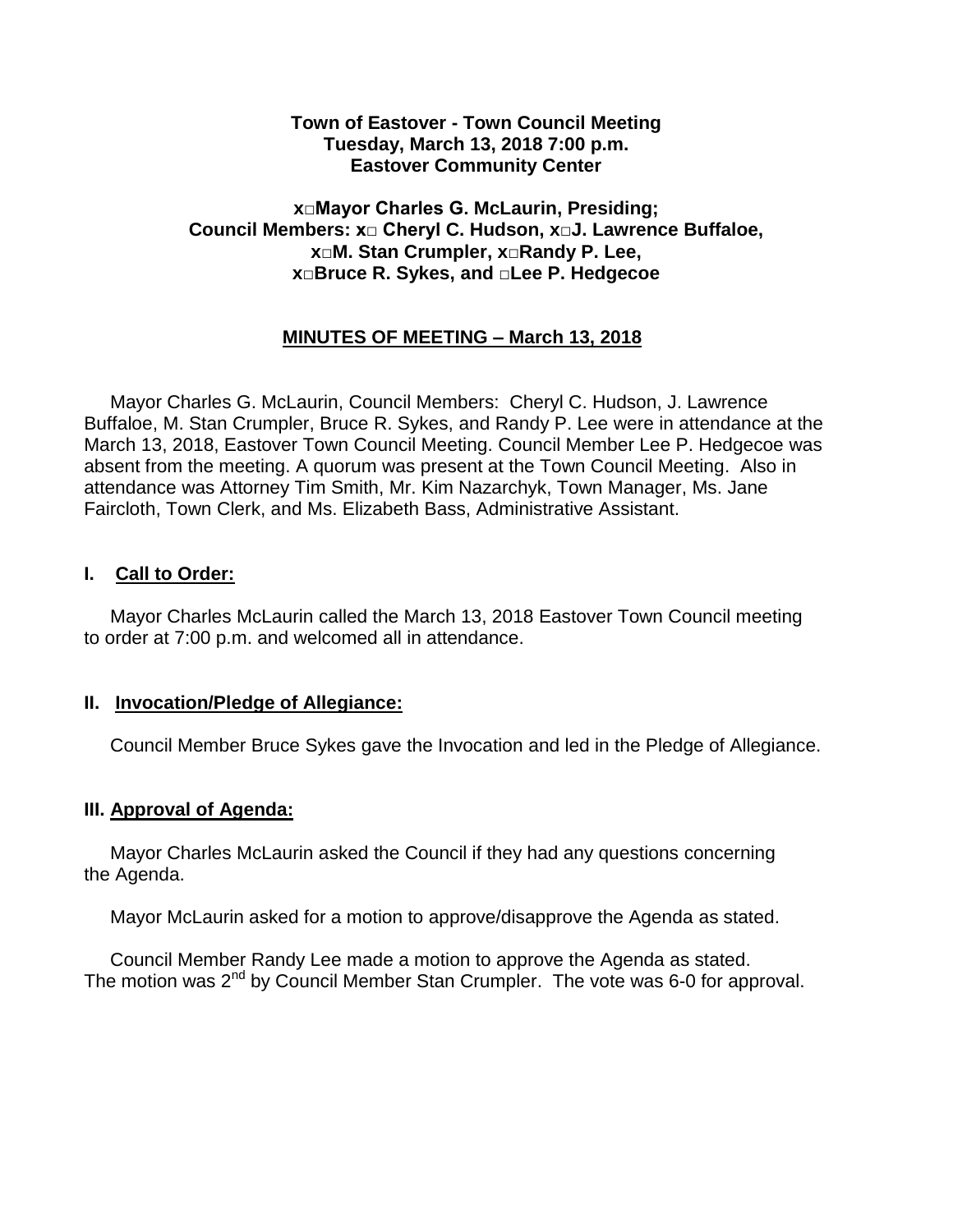#### **Town of Eastover - Town Council Meeting Tuesday, March 13, 2018 7:00 p.m. Eastover Community Center**

### **x□Mayor Charles G. McLaurin, Presiding; Council Members: x□ Cheryl C. Hudson, x□J. Lawrence Buffaloe, x□M. Stan Crumpler, x□Randy P. Lee, x□Bruce R. Sykes, and □Lee P. Hedgecoe**

## **MINUTES OF MEETING – March 13, 2018**

 Mayor Charles G. McLaurin, Council Members: Cheryl C. Hudson, J. Lawrence Buffaloe, M. Stan Crumpler, Bruce R. Sykes, and Randy P. Lee were in attendance at the March 13, 2018, Eastover Town Council Meeting. Council Member Lee P. Hedgecoe was absent from the meeting. A quorum was present at the Town Council Meeting. Also in attendance was Attorney Tim Smith, Mr. Kim Nazarchyk, Town Manager, Ms. Jane Faircloth, Town Clerk, and Ms. Elizabeth Bass, Administrative Assistant.

### **I. Call to Order:**

 Mayor Charles McLaurin called the March 13, 2018 Eastover Town Council meeting to order at 7:00 p.m. and welcomed all in attendance.

#### **II. Invocation/Pledge of Allegiance:**

Council Member Bruce Sykes gave the Invocation and led in the Pledge of Allegiance.

#### **III. Approval of Agenda:**

 Mayor Charles McLaurin asked the Council if they had any questions concerning the Agenda.

Mayor McLaurin asked for a motion to approve/disapprove the Agenda as stated.

 Council Member Randy Lee made a motion to approve the Agenda as stated. The motion was 2<sup>nd</sup> by Council Member Stan Crumpler. The vote was 6-0 for approval.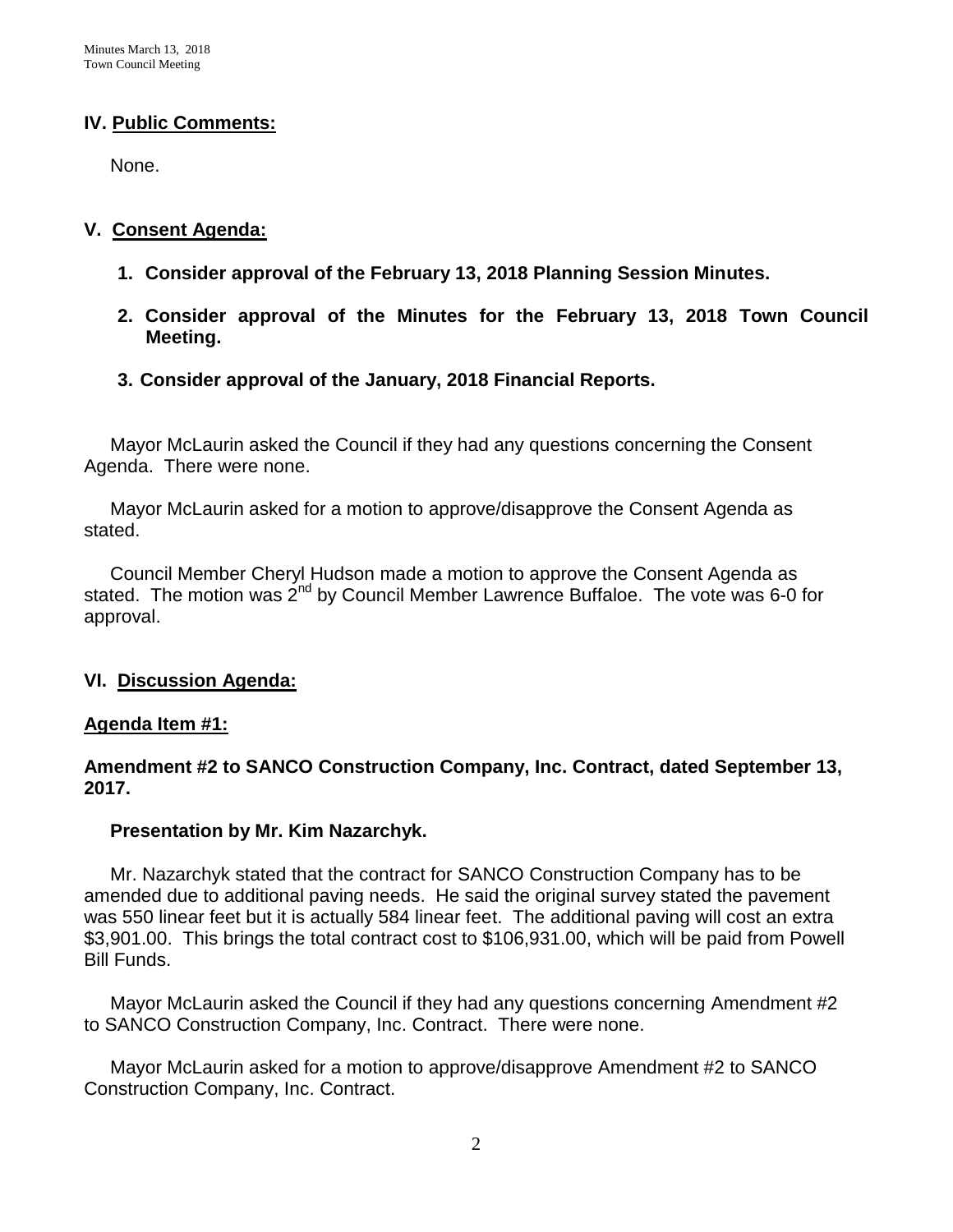### **IV. Public Comments:**

None.

### **V. Consent Agenda:**

- **1. Consider approval of the February 13, 2018 Planning Session Minutes.**
- **2. Consider approval of the Minutes for the February 13, 2018 Town Council Meeting.**
- **3. Consider approval of the January, 2018 Financial Reports.**

 Mayor McLaurin asked the Council if they had any questions concerning the Consent Agenda. There were none.

 Mayor McLaurin asked for a motion to approve/disapprove the Consent Agenda as stated.

 Council Member Cheryl Hudson made a motion to approve the Consent Agenda as stated. The motion was  $2^{nd}$  by Council Member Lawrence Buffaloe. The vote was 6-0 for approval.

## **VI. Discussion Agenda:**

### **Agenda Item #1:**

### **Amendment #2 to SANCO Construction Company, Inc. Contract, dated September 13, 2017.**

### **Presentation by Mr. Kim Nazarchyk.**

 Mr. Nazarchyk stated that the contract for SANCO Construction Company has to be amended due to additional paving needs. He said the original survey stated the pavement was 550 linear feet but it is actually 584 linear feet. The additional paving will cost an extra \$3,901.00. This brings the total contract cost to \$106,931.00, which will be paid from Powell Bill Funds.

 Mayor McLaurin asked the Council if they had any questions concerning Amendment #2 to SANCO Construction Company, Inc. Contract. There were none.

 Mayor McLaurin asked for a motion to approve/disapprove Amendment #2 to SANCO Construction Company, Inc. Contract.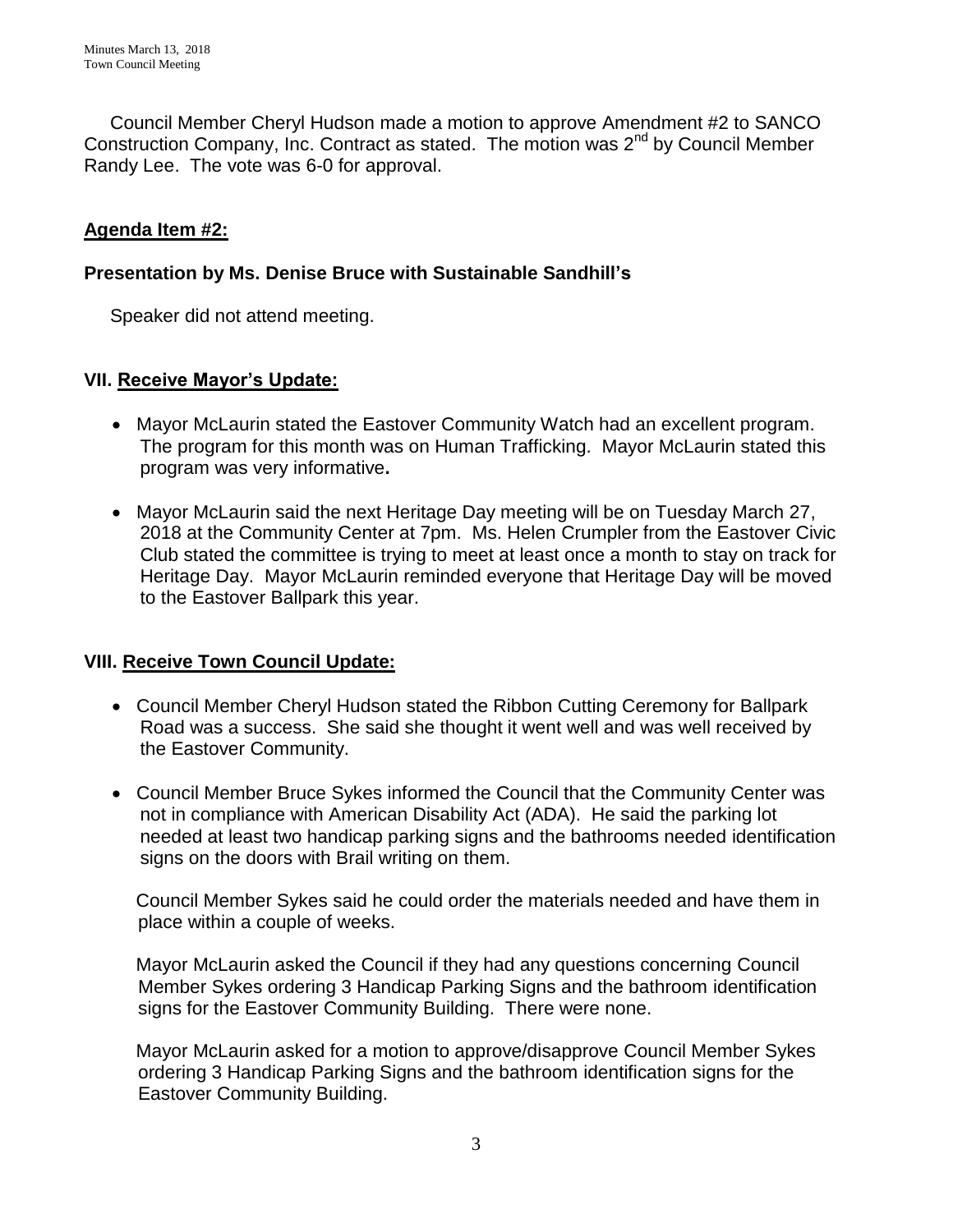Council Member Cheryl Hudson made a motion to approve Amendment #2 to SANCO Construction Company, Inc. Contract as stated. The motion was 2<sup>nd</sup> by Council Member Randy Lee. The vote was 6-0 for approval.

# **Agenda Item #2:**

### **Presentation by Ms. Denise Bruce with Sustainable Sandhill's**

Speaker did not attend meeting.

### **VII. Receive Mayor's Update:**

- Mayor McLaurin stated the Eastover Community Watch had an excellent program. The program for this month was on Human Trafficking. Mayor McLaurin stated this program was very informative**.**
- Mayor McLaurin said the next Heritage Day meeting will be on Tuesday March 27, 2018 at the Community Center at 7pm. Ms. Helen Crumpler from the Eastover Civic Club stated the committee is trying to meet at least once a month to stay on track for Heritage Day. Mayor McLaurin reminded everyone that Heritage Day will be moved to the Eastover Ballpark this year.

## **VIII. Receive Town Council Update:**

- Council Member Cheryl Hudson stated the Ribbon Cutting Ceremony for Ballpark Road was a success. She said she thought it went well and was well received by the Eastover Community.
- Council Member Bruce Sykes informed the Council that the Community Center was not in compliance with American Disability Act (ADA). He said the parking lot needed at least two handicap parking signs and the bathrooms needed identification signs on the doors with Brail writing on them.

 Council Member Sykes said he could order the materials needed and have them in place within a couple of weeks.

 Mayor McLaurin asked the Council if they had any questions concerning Council Member Sykes ordering 3 Handicap Parking Signs and the bathroom identification signs for the Eastover Community Building. There were none.

 Mayor McLaurin asked for a motion to approve/disapprove Council Member Sykes ordering 3 Handicap Parking Signs and the bathroom identification signs for the Eastover Community Building.